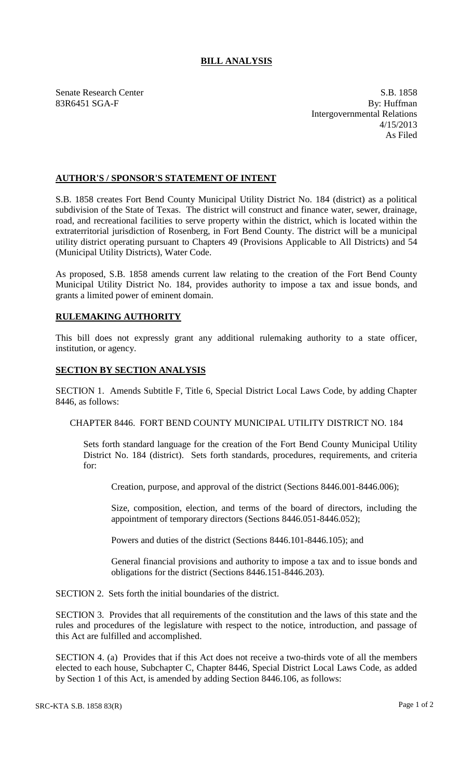## **BILL ANALYSIS**

Senate Research Center S.B. 1858 83R6451 SGA-F By: Huffman Intergovernmental Relations 4/15/2013 As Filed

## **AUTHOR'S / SPONSOR'S STATEMENT OF INTENT**

S.B. 1858 creates Fort Bend County Municipal Utility District No. 184 (district) as a political subdivision of the State of Texas. The district will construct and finance water, sewer, drainage, road, and recreational facilities to serve property within the district, which is located within the extraterritorial jurisdiction of Rosenberg, in Fort Bend County. The district will be a municipal utility district operating pursuant to Chapters 49 (Provisions Applicable to All Districts) and 54 (Municipal Utility Districts), Water Code.

As proposed, S.B. 1858 amends current law relating to the creation of the Fort Bend County Municipal Utility District No. 184, provides authority to impose a tax and issue bonds, and grants a limited power of eminent domain.

## **RULEMAKING AUTHORITY**

This bill does not expressly grant any additional rulemaking authority to a state officer, institution, or agency.

## **SECTION BY SECTION ANALYSIS**

SECTION 1. Amends Subtitle F, Title 6, Special District Local Laws Code, by adding Chapter 8446, as follows:

CHAPTER 8446. FORT BEND COUNTY MUNICIPAL UTILITY DISTRICT NO. 184

Sets forth standard language for the creation of the Fort Bend County Municipal Utility District No. 184 (district). Sets forth standards, procedures, requirements, and criteria for:

Creation, purpose, and approval of the district (Sections 8446.001-8446.006);

Size, composition, election, and terms of the board of directors, including the appointment of temporary directors (Sections 8446.051-8446.052);

Powers and duties of the district (Sections 8446.101-8446.105); and

General financial provisions and authority to impose a tax and to issue bonds and obligations for the district (Sections 8446.151-8446.203).

SECTION 2. Sets forth the initial boundaries of the district.

SECTION 3. Provides that all requirements of the constitution and the laws of this state and the rules and procedures of the legislature with respect to the notice, introduction, and passage of this Act are fulfilled and accomplished.

SECTION 4. (a) Provides that if this Act does not receive a two-thirds vote of all the members elected to each house, Subchapter C, Chapter 8446, Special District Local Laws Code, as added by Section 1 of this Act, is amended by adding Section 8446.106, as follows: